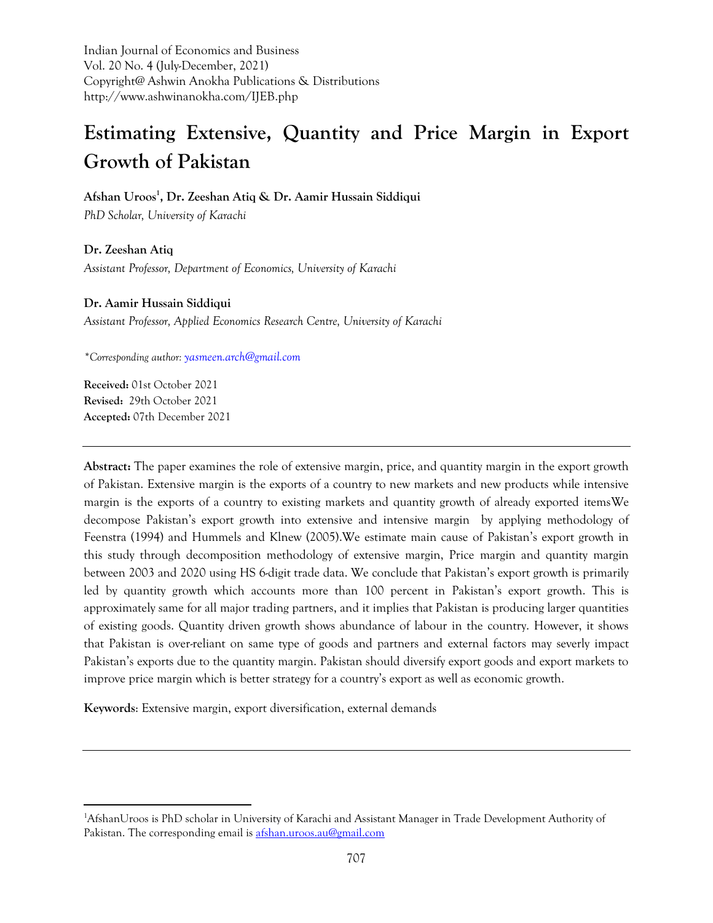Indian Journal of Economics and Business Vol. 20 No. 4 (July-December, 2021) Copyright@ Ashwin Anokha Publications & Distributions http://www.ashwinanokha.com/IJEB.php

# **Estimating Extensive, Quantity and Price Margin in Export Growth of Pakistan**

**Afshan Uroos<sup>1</sup> , Dr. Zeeshan Atiq & Dr. Aamir Hussain Siddiqui**

*PhD Scholar, University of Karachi*

**Dr. Zeeshan Atiq** *Assistant Professor, Department of Economics, University of Karachi*

## **Dr. Aamir Hussain Siddiqui**

*Assistant Professor, Applied Economics Research Centre, University of Karachi*

*\*Corresponding author: [yasmeen.arch@gmail.com](mailto:yasmeen.arch@gmail.com)*

**Received:** 01st October 2021 **Revised:** 29th October 2021 **Accepted:** 07th December 2021

**Abstract:** The paper examines the role of extensive margin, price, and quantity margin in the export growth of Pakistan. Extensive margin is the exports of a country to new markets and new products while intensive margin is the exports of a country to existing markets and quantity growth of already exported itemsWe decompose Pakistan's export growth into extensive and intensive margin by applying methodology of Feenstra (1994) and Hummels and Klnew (2005).We estimate main cause of Pakistan's export growth in this study through decomposition methodology of extensive margin, Price margin and quantity margin between 2003 and 2020 using HS 6-digit trade data. We conclude that Pakistan's export growth is primarily led by quantity growth which accounts more than 100 percent in Pakistan's export growth. This is approximately same for all major trading partners, and it implies that Pakistan is producing larger quantities of existing goods. Quantity driven growth shows abundance of labour in the country. However, it shows that Pakistan is over-reliant on same type of goods and partners and external factors may severly impact Pakistan's exports due to the quantity margin. Pakistan should diversify export goods and export markets to improve price margin which is better strategy for a country's export as well as economic growth.

**Keywords**: Extensive margin, export diversification, external demands

<sup>1</sup>AfshanUroos is PhD scholar in University of Karachi and Assistant Manager in Trade Development Authority of Pakistan. The corresponding email is [afshan.uroos.au@gmail.com](mailto:afshan.uroos.au@gmail.com)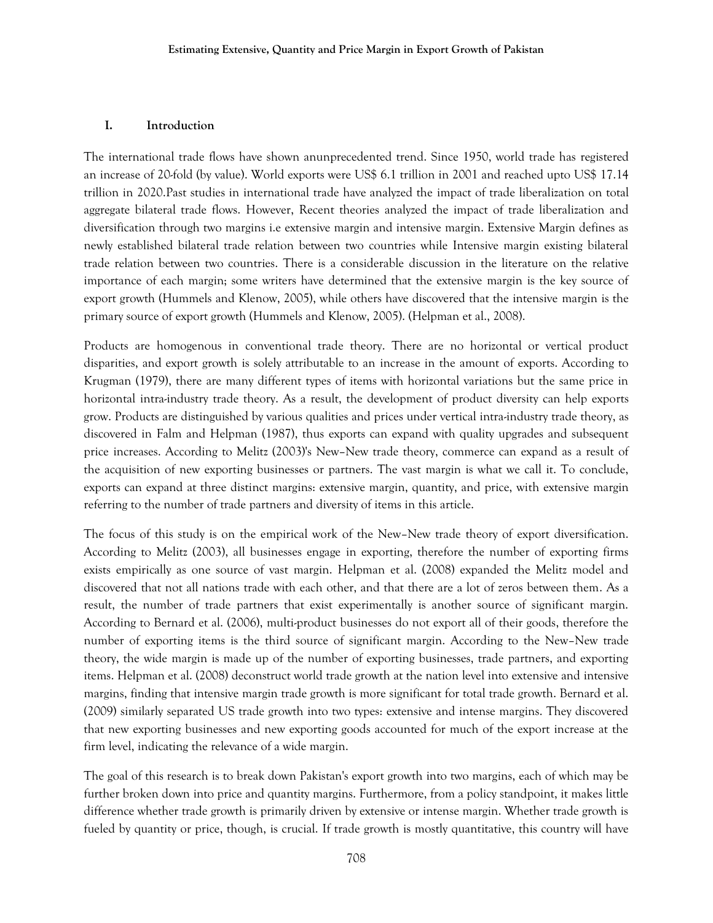## **I. Introduction**

The international trade flows have shown anunprecedented trend. Since 1950, world trade has registered an increase of 20-fold (by value). World exports were US\$ 6.1 trillion in 2001 and reached upto US\$ 17.14 trillion in 2020.Past studies in international trade have analyzed the impact of trade liberalization on total aggregate bilateral trade flows. However, Recent theories analyzed the impact of trade liberalization and diversification through two margins i.e extensive margin and intensive margin. Extensive Margin defines as newly established bilateral trade relation between two countries while Intensive margin existing bilateral trade relation between two countries. There is a considerable discussion in the literature on the relative importance of each margin; some writers have determined that the extensive margin is the key source of export growth (Hummels and Klenow, 2005), while others have discovered that the intensive margin is the primary source of export growth (Hummels and Klenow, 2005). (Helpman et al., 2008).

Products are homogenous in conventional trade theory. There are no horizontal or vertical product disparities, and export growth is solely attributable to an increase in the amount of exports. According to Krugman (1979), there are many different types of items with horizontal variations but the same price in horizontal intra-industry trade theory. As a result, the development of product diversity can help exports grow. Products are distinguished by various qualities and prices under vertical intra-industry trade theory, as discovered in Falm and Helpman (1987), thus exports can expand with quality upgrades and subsequent price increases. According to Melitz (2003)'s New–New trade theory, commerce can expand as a result of the acquisition of new exporting businesses or partners. The vast margin is what we call it. To conclude, exports can expand at three distinct margins: extensive margin, quantity, and price, with extensive margin referring to the number of trade partners and diversity of items in this article.

The focus of this study is on the empirical work of the New–New trade theory of export diversification. According to Melitz (2003), all businesses engage in exporting, therefore the number of exporting firms exists empirically as one source of vast margin. Helpman et al. (2008) expanded the Melitz model and discovered that not all nations trade with each other, and that there are a lot of zeros between them. As a result, the number of trade partners that exist experimentally is another source of significant margin. According to Bernard et al. (2006), multi-product businesses do not export all of their goods, therefore the number of exporting items is the third source of significant margin. According to the New–New trade theory, the wide margin is made up of the number of exporting businesses, trade partners, and exporting items. Helpman et al. (2008) deconstruct world trade growth at the nation level into extensive and intensive margins, finding that intensive margin trade growth is more significant for total trade growth. Bernard et al. (2009) similarly separated US trade growth into two types: extensive and intense margins. They discovered that new exporting businesses and new exporting goods accounted for much of the export increase at the firm level, indicating the relevance of a wide margin.

The goal of this research is to break down Pakistan's export growth into two margins, each of which may be further broken down into price and quantity margins. Furthermore, from a policy standpoint, it makes little difference whether trade growth is primarily driven by extensive or intense margin. Whether trade growth is fueled by quantity or price, though, is crucial. If trade growth is mostly quantitative, this country will have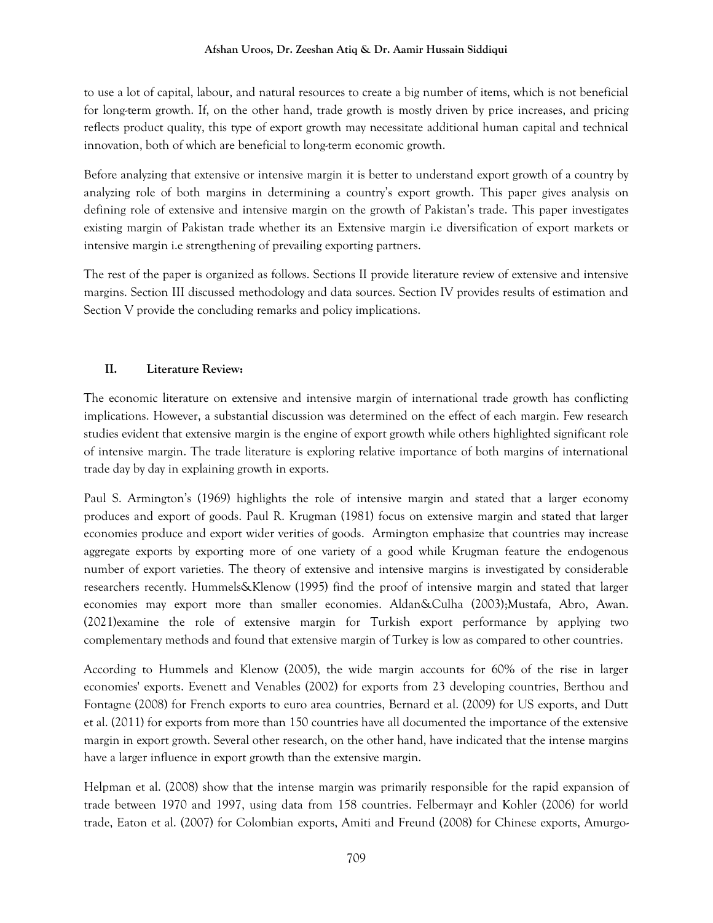#### **Afshan Uroos, Dr. Zeeshan Atiq & Dr. Aamir Hussain Siddiqui**

to use a lot of capital, labour, and natural resources to create a big number of items, which is not beneficial for long-term growth. If, on the other hand, trade growth is mostly driven by price increases, and pricing reflects product quality, this type of export growth may necessitate additional human capital and technical innovation, both of which are beneficial to long-term economic growth.

Before analyzing that extensive or intensive margin it is better to understand export growth of a country by analyzing role of both margins in determining a country's export growth. This paper gives analysis on defining role of extensive and intensive margin on the growth of Pakistan's trade. This paper investigates existing margin of Pakistan trade whether its an Extensive margin i.e diversification of export markets or intensive margin i.e strengthening of prevailing exporting partners.

The rest of the paper is organized as follows. Sections II provide literature review of extensive and intensive margins. Section III discussed methodology and data sources. Section IV provides results of estimation and Section V provide the concluding remarks and policy implications.

## **II. Literature Review:**

The economic literature on extensive and intensive margin of international trade growth has conflicting implications. However, a substantial discussion was determined on the effect of each margin. Few research studies evident that extensive margin is the engine of export growth while others highlighted significant role of intensive margin. The trade literature is exploring relative importance of both margins of international trade day by day in explaining growth in exports.

Paul S. Armington's (1969) highlights the role of intensive margin and stated that a larger economy produces and export of goods. Paul R. Krugman (1981) focus on extensive margin and stated that larger economies produce and export wider verities of goods. Armington emphasize that countries may increase aggregate exports by exporting more of one variety of a good while Krugman feature the endogenous number of export varieties. The theory of extensive and intensive margins is investigated by considerable researchers recently. Hummels&Klenow (1995) find the proof of intensive margin and stated that larger economies may export more than smaller economies. Aldan&Culha (2003);Mustafa, Abro, Awan. (2021)examine the role of extensive margin for Turkish export performance by applying two complementary methods and found that extensive margin of Turkey is low as compared to other countries.

According to Hummels and Klenow (2005), the wide margin accounts for 60% of the rise in larger economies' exports. Evenett and Venables (2002) for exports from 23 developing countries, Berthou and Fontagne (2008) for French exports to euro area countries, Bernard et al. (2009) for US exports, and Dutt et al. (2011) for exports from more than 150 countries have all documented the importance of the extensive margin in export growth. Several other research, on the other hand, have indicated that the intense margins have a larger influence in export growth than the extensive margin.

Helpman et al. (2008) show that the intense margin was primarily responsible for the rapid expansion of trade between 1970 and 1997, using data from 158 countries. Felbermayr and Kohler (2006) for world trade, Eaton et al. (2007) for Colombian exports, Amiti and Freund (2008) for Chinese exports, Amurgo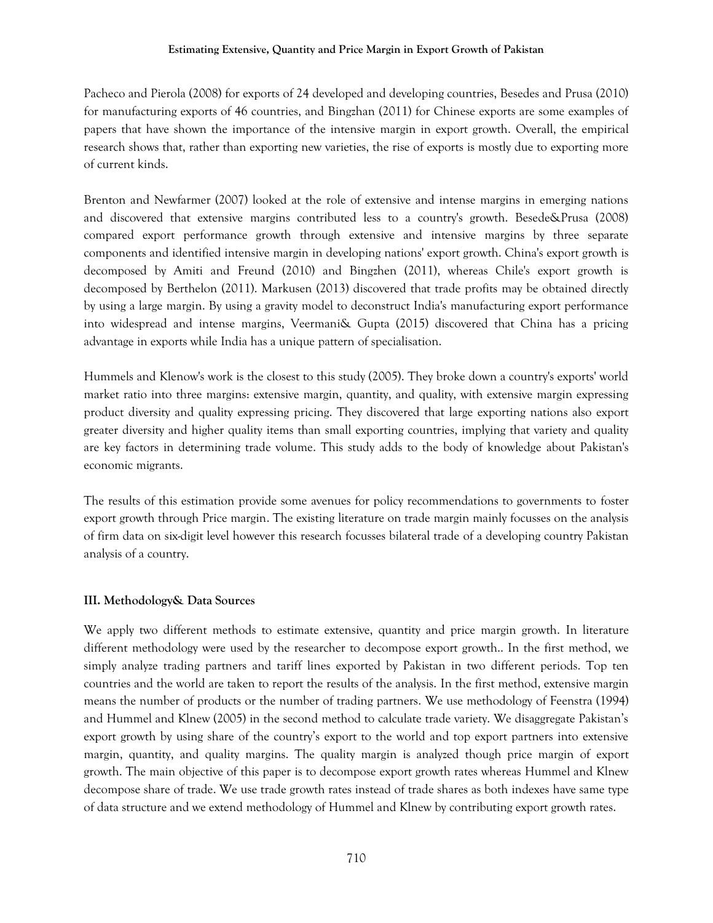Pacheco and Pierola (2008) for exports of 24 developed and developing countries, Besedes and Prusa (2010) for manufacturing exports of 46 countries, and Bingzhan (2011) for Chinese exports are some examples of papers that have shown the importance of the intensive margin in export growth. Overall, the empirical research shows that, rather than exporting new varieties, the rise of exports is mostly due to exporting more of current kinds.

Brenton and Newfarmer (2007) looked at the role of extensive and intense margins in emerging nations and discovered that extensive margins contributed less to a country's growth. Besede&Prusa (2008) compared export performance growth through extensive and intensive margins by three separate components and identified intensive margin in developing nations' export growth. China's export growth is decomposed by Amiti and Freund (2010) and Bingzhen (2011), whereas Chile's export growth is decomposed by Berthelon (2011). Markusen (2013) discovered that trade profits may be obtained directly by using a large margin. By using a gravity model to deconstruct India's manufacturing export performance into widespread and intense margins, Veermani& Gupta (2015) discovered that China has a pricing advantage in exports while India has a unique pattern of specialisation.

Hummels and Klenow's work is the closest to this study (2005). They broke down a country's exports' world market ratio into three margins: extensive margin, quantity, and quality, with extensive margin expressing product diversity and quality expressing pricing. They discovered that large exporting nations also export greater diversity and higher quality items than small exporting countries, implying that variety and quality are key factors in determining trade volume. This study adds to the body of knowledge about Pakistan's economic migrants.

The results of this estimation provide some avenues for policy recommendations to governments to foster export growth through Price margin. The existing literature on trade margin mainly focusses on the analysis of firm data on six-digit level however this research focusses bilateral trade of a developing country Pakistan analysis of a country.

## **III. Methodology& Data Sources**

We apply two different methods to estimate extensive, quantity and price margin growth. In literature different methodology were used by the researcher to decompose export growth.. In the first method, we simply analyze trading partners and tariff lines exported by Pakistan in two different periods. Top ten countries and the world are taken to report the results of the analysis. In the first method, extensive margin means the number of products or the number of trading partners. We use methodology of Feenstra (1994) and Hummel and Klnew (2005) in the second method to calculate trade variety. We disaggregate Pakistan's export growth by using share of the country's export to the world and top export partners into extensive margin, quantity, and quality margins. The quality margin is analyzed though price margin of export growth. The main objective of this paper is to decompose export growth rates whereas Hummel and Klnew decompose share of trade. We use trade growth rates instead of trade shares as both indexes have same type of data structure and we extend methodology of Hummel and Klnew by contributing export growth rates.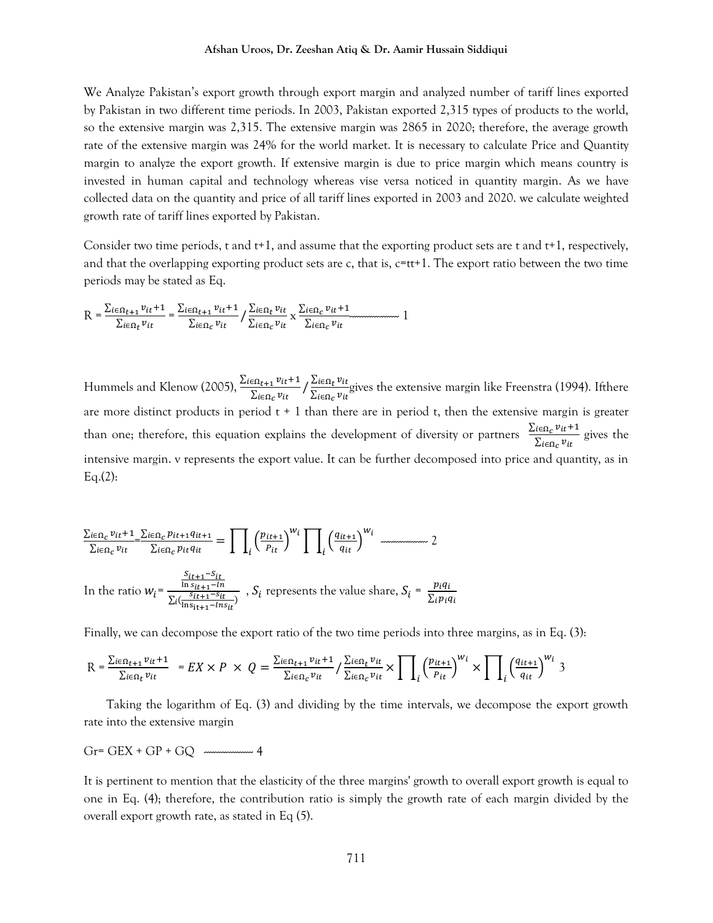We Analyze Pakistan's export growth through export margin and analyzed number of tariff lines exported by Pakistan in two different time periods. In 2003, Pakistan exported 2,315 types of products to the world, so the extensive margin was 2,315. The extensive margin was 2865 in 2020; therefore, the average growth rate of the extensive margin was 24% for the world market. It is necessary to calculate Price and Quantity margin to analyze the export growth. If extensive margin is due to price margin which means country is invested in human capital and technology whereas vise versa noticed in quantity margin. As we have collected data on the quantity and price of all tariff lines exported in 2003 and 2020. we calculate weighted growth rate of tariff lines exported by Pakistan.

Consider two time periods, t and t+1, and assume that the exporting product sets are t and t+1, respectively, and that the overlapping exporting product sets are c, that is,  $c=tt+1$ . The export ratio between the two time periods may be stated as Eq.

$$
R = \frac{\sum_{i \in \Omega_{t+1}} v_{it} + 1}{\sum_{i \in \Omega_t} v_{it}} = \frac{\sum_{i \in \Omega_{t+1}} v_{it} + 1}{\sum_{i \in \Omega_c} v_{it}} / \frac{\sum_{i \in \Omega_t} v_{it}}{\sum_{i \in \Omega_c} v_{it}} \times \frac{\sum_{i \in \Omega_c} v_{it} + 1}{\sum_{i \in \Omega_c} v_{it}} \quad 1
$$

Hummels and Klenow (2005),  $\frac{\Sigma_{i\in\Omega_{t+1}}v_{it}+1}{\Sigma_{i\in\Omega_{c}}v_{it}}/\frac{\Sigma_{i\in\Omega_{t}}v_{it}}{\Sigma_{i\in\Omega_{c}}v_{it}}$  $\frac{Z_l \epsilon_{l} \mu_{l}}{\sum_{i \in \Omega_c} v_{it}}$  gives the extensive margin like Freenstra (1994). If there are more distinct products in period  $t + 1$  than there are in period t, then the extensive margin is greater than one; therefore, this equation explains the development of diversity or partners  $\frac{\sum_{i\in\Omega_C} v_{it}+1}{\sum_{i\in\Omega_C} v_{it}}$  gives the intensive margin. v represents the export value. It can be further decomposed into price and quantity, as in  $Eq.(2):$ 

$$
\frac{\sum_{i\in\Omega_c}v_{it}+1}{\sum_{i\in\Omega_c}v_{it}} = \frac{\sum_{i\in\Omega_c}p_{it+1}q_{it+1}}{\sum_{i\in\Omega_c}p_{it}q_{it}} = \prod_i \left(\frac{p_{it+1}}{p_{it}}\right)^{w_i} \prod_i \left(\frac{q_{it+1}}{q_{it}}\right)^{w_i}
$$
\n
$$
\frac{2}{\prod_{i\in\Omega_c}v_{it}} \frac{2}{\prod_{i\in\Omega_c}p_{it+1} - ln_i}
$$
\nIn the ratio  $w_i = \frac{\frac{S_{it+1} - S_{it}}{\ln s_{it+1} - ln_i}}{\sum_i \left(\frac{S_{it+1} - S_{it}}{\ln s_{it+1} - ln_s}\right)}$ ,  $S_i$  represents the value share,  $S_i = \frac{p_i q_i}{\sum_i p_i q_i}$ 

Finally, we can decompose the export ratio of the two time periods into three margins, as in Eq. (3):

$$
R = \frac{\sum_{i \in \Omega_{t+1}} v_{it} + 1}{\sum_{i \in \Omega_t} v_{it}} = EX \times P \times Q = \frac{\sum_{i \in \Omega_{t+1}} v_{it} + 1}{\sum_{i \in \Omega_c} v_{it}} / \frac{\sum_{i \in \Omega_t} v_{it}}{\sum_{i \in \Omega_c} v_{it}} \times \prod_i (\frac{p_{it+1}}{p_{it}})^{w_i} \times \prod_i (\frac{q_{it+1}}{q_{it}})^{w_i} \times \prod_i (\frac{p_{it+1}}{p_{it}})^{w_i}
$$

 Taking the logarithm of Eq. (3) and dividing by the time intervals, we decompose the export growth rate into the extensive margin

$$
Gr = GEX + GP + GQ \quad \text{and} \quad 4
$$

It is pertinent to mention that the elasticity of the three margins' growth to overall export growth is equal to one in Eq. (4); therefore, the contribution ratio is simply the growth rate of each margin divided by the overall export growth rate, as stated in Eq (5).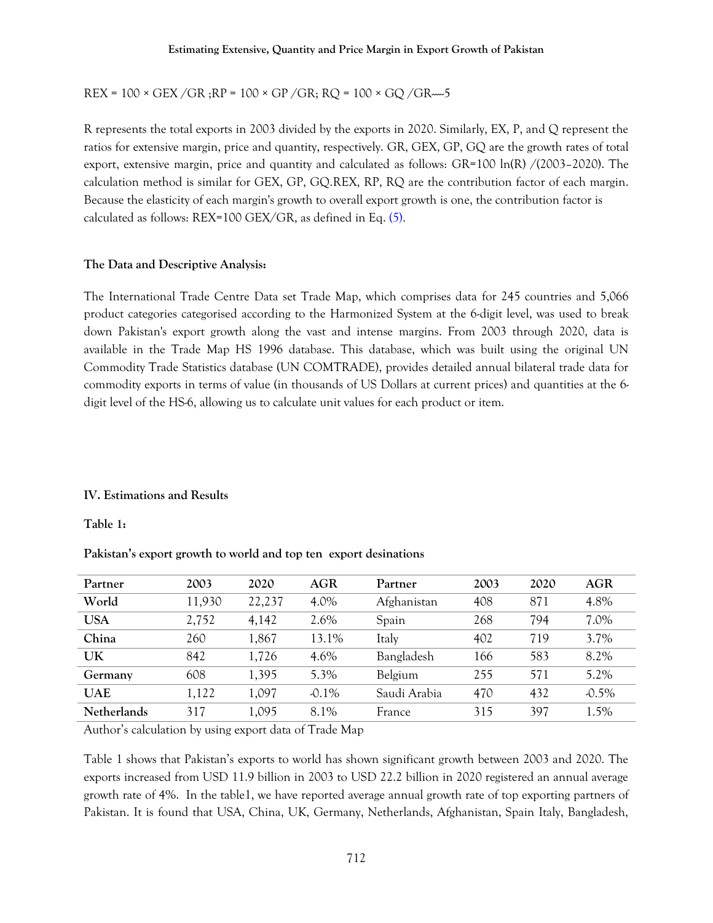REX = 100 × GEX /GR ;RP = 100 × GP /GR; RQ = 100 × GQ /GR-----5

R represents the total exports in 2003 divided by the exports in 2020. Similarly, EX, P, and Q represent the ratios for extensive margin, price and quantity, respectively. GR, GEX, GP, GQ are the growth rates of total export, extensive margin, price and quantity and calculated as follows: GR=100 ln(R) /(2003–2020). The calculation method is similar for GEX, GP, GQ.REX, RP, RQ are the contribution factor of each margin. Because the elasticity of each margin's growth to overall export growth is one, the contribution factor is calculated as follows: REX=100 GEX/GR, as defined in Eq. (5).

## **The Data and Descriptive Analysis:**

The International Trade Centre Data set Trade Map, which comprises data for 245 countries and 5,066 product categories categorised according to the Harmonized System at the 6-digit level, was used to break down Pakistan's export growth along the vast and intense margins. From 2003 through 2020, data is available in the Trade Map HS 1996 database. This database, which was built using the original UN Commodity Trade Statistics database (UN COMTRADE), provides detailed annual bilateral trade data for commodity exports in terms of value (in thousands of US Dollars at current prices) and quantities at the 6 digit level of the HS-6, allowing us to calculate unit values for each product or item.

## **IV. Estimations and Results**

**Table 1:**

**Pakistan's export growth to world and top ten export desinations**

| Partner            | 2003   | 2020   | AGR      | Partner      | 2003 | 2020 | AGR      |
|--------------------|--------|--------|----------|--------------|------|------|----------|
| World              | 11,930 | 22,237 | 4.0%     | Afghanistan  | 408  | 871  | 4.8%     |
| <b>USA</b>         | 2,752  | 4,142  | 2.6%     | Spain        | 268  | 794  | 7.0%     |
| China              | 260    | 1,867  | 13.1%    | Italy        | 402  | 719  | 3.7%     |
| <b>UK</b>          | 842    | 1,726  | 4.6%     | Bangladesh   | 166  | 583  | 8.2%     |
| Germany            | 608    | 1,395  | 5.3%     | Belgium      | 255  | 571  | 5.2%     |
| <b>UAE</b>         | 1,122  | 1,097  | $-0.1\%$ | Saudi Arabia | 470  | 432  | $-0.5\%$ |
| <b>Netherlands</b> | 317    | 1,095  | 8.1%     | France       | 315  | 397  | 1.5%     |

Author's calculation by using export data of Trade Map

Table 1 shows that Pakistan's exports to world has shown significant growth between 2003 and 2020. The exports increased from USD 11.9 billion in 2003 to USD 22.2 billion in 2020 registered an annual average growth rate of 4%. In the table1, we have reported average annual growth rate of top exporting partners of Pakistan. It is found that USA, China, UK, Germany, Netherlands, Afghanistan, Spain Italy, Bangladesh,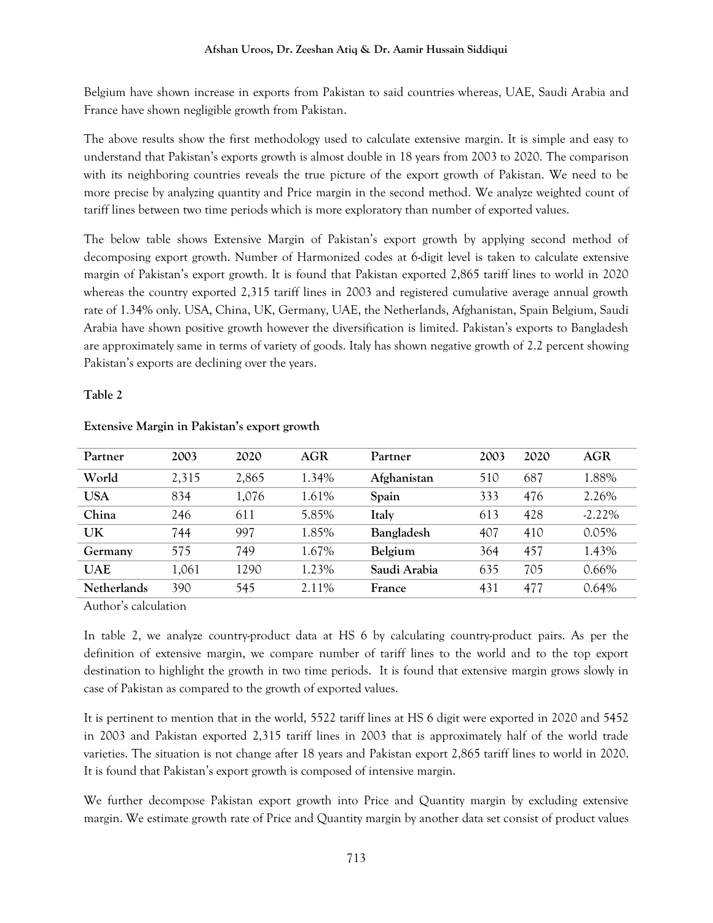Belgium have shown increase in exports from Pakistan to said countries whereas, UAE, Saudi Arabia and France have shown negligible growth from Pakistan.

The above results show the first methodology used to calculate extensive margin. It is simple and easy to understand that Pakistan's exports growth is almost double in 18 years from 2003 to 2020. The comparison with its neighboring countries reveals the true picture of the export growth of Pakistan. We need to be more precise by analyzing quantity and Price margin in the second method. We analyze weighted count of tariff lines between two time periods which is more exploratory than number of exported values.

The below table shows Extensive Margin of Pakistan's export growth by applying second method of decomposing export growth. Number of Harmonized codes at 6-digit level is taken to calculate extensive margin of Pakistan's export growth. It is found that Pakistan exported 2,865 tariff lines to world in 2020 whereas the country exported 2,315 tariff lines in 2003 and registered cumulative average annual growth rate of 1.34% only. USA, China, UK, Germany, UAE, the Netherlands, Afghanistan, Spain Belgium, Saudi Arabia have shown positive growth however the diversification is limited. Pakistan's exports to Bangladesh are approximately same in terms of variety of goods. Italy has shown negative growth of 2.2 percent showing Pakistan's exports are declining over the years.

## **Table 2**

| Partner     | 2003  | 2020  | <b>AGR</b> | Partner      | 2003 | 2020 | AGR       |
|-------------|-------|-------|------------|--------------|------|------|-----------|
| World       | 2,315 | 2,865 | 1.34%      | Afghanistan  | 510  | 687  | 1.88%     |
| <b>USA</b>  | 834   | 1,076 | 1.61%      | Spain        | 333  | 476  | 2.26%     |
| China       | 246   | 611   | 5.85%      | Italy        | 613  | 428  | $-2.22\%$ |
| UK          | 744   | 997   | 1.85%      | Bangladesh   | 407  | 410  | 0.05%     |
| Germany     | 575   | 749   | 1.67%      | Belgium      | 364  | 457  | 1.43%     |
| <b>UAE</b>  | 1,061 | 1290  | 1.23%      | Saudi Arabia | 635  | 705  | $0.66\%$  |
| Netherlands | 390   | 545   | 2.11%      | France       | 431  | 477  | 0.64%     |

## **Extensive Margin in Pakistan's export growth**

Author's calculation

In table 2, we analyze country-product data at HS 6 by calculating country-product pairs. As per the definition of extensive margin, we compare number of tariff lines to the world and to the top export destination to highlight the growth in two time periods. It is found that extensive margin grows slowly in case of Pakistan as compared to the growth of exported values.

It is pertinent to mention that in the world, 5522 tariff lines at HS 6 digit were exported in 2020 and 5452 in 2003 and Pakistan exported 2,315 tariff lines in 2003 that is approximately half of the world trade varieties. The situation is not change after 18 years and Pakistan export 2,865 tariff lines to world in 2020. It is found that Pakistan's export growth is composed of intensive margin.

We further decompose Pakistan export growth into Price and Quantity margin by excluding extensive margin. We estimate growth rate of Price and Quantity margin by another data set consist of product values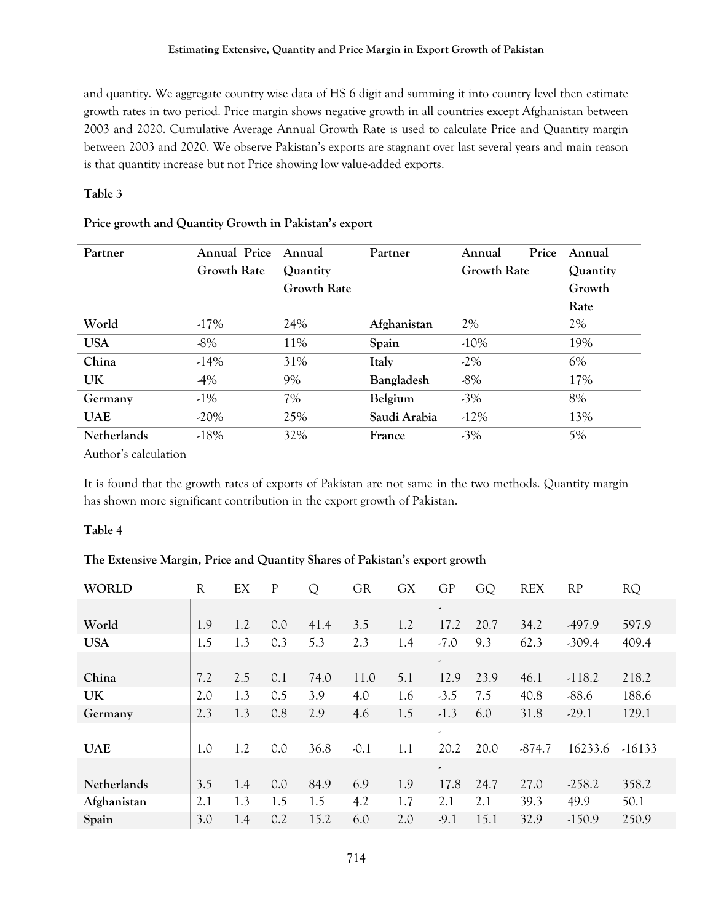#### **Estimating Extensive, Quantity and Price Margin in Export Growth of Pakistan**

and quantity. We aggregate country wise data of HS 6 digit and summing it into country level then estimate growth rates in two period. Price margin shows negative growth in all countries except Afghanistan between 2003 and 2020. Cumulative Average Annual Growth Rate is used to calculate Price and Quantity margin between 2003 and 2020. We observe Pakistan's exports are stagnant over last several years and main reason is that quantity increase but not Price showing low value-added exports.

## **Table 3**

| Partner            | <b>Annual Price</b> | Annual      | Partner      | Price<br>Annual    | Annual   |
|--------------------|---------------------|-------------|--------------|--------------------|----------|
|                    | <b>Growth Rate</b>  | Quantity    |              | <b>Growth Rate</b> | Quantity |
|                    |                     | Growth Rate |              |                    | Growth   |
|                    |                     |             |              |                    | Rate     |
| World              | $-17%$              | 24%         | Afghanistan  | 2%                 | 2%       |
| <b>USA</b>         | $-8\%$              | 11%         | Spain        | $-10\%$            | 19%      |
| China              | $-14%$              | 31%         | Italy        | $-2\%$             | 6%       |
| <b>UK</b>          | $-4%$               | 9%          | Bangladesh   | $-8%$              | 17%      |
| Germany            | $-1\%$              | 7%          | Belgium      | $-3\%$             | 8%       |
| <b>UAE</b>         | $-20\%$             | 25%         | Saudi Arabia | $-12\%$            | 13%      |
| <b>Netherlands</b> | $-18%$              | 32%         | France       | $-3\%$             | 5%       |

## **Price growth and Quantity Growth in Pakistan's export**

Author's calculation

It is found that the growth rates of exports of Pakistan are not same in the two methods. Quantity margin has shown more significant contribution in the export growth of Pakistan.

## **Table 4**

## **The Extensive Margin, Price and Quantity Shares of Pakistan's export growth**

| <b>WORLD</b> | $\mathbb{R}$ | EX  | P   | Q    | <b>GR</b> | <b>GX</b> | GP                       | GQ   | <b>REX</b> | RP       | <b>RQ</b> |
|--------------|--------------|-----|-----|------|-----------|-----------|--------------------------|------|------------|----------|-----------|
|              |              |     |     |      |           |           | $\overline{\phantom{a}}$ |      |            |          |           |
| World        | 1.9          | 1.2 | 0.0 | 41.4 | 3.5       | 1.2       | 17.2                     | 20.7 | 34.2       | -497.9   | 597.9     |
| <b>USA</b>   | 1.5          | 1.3 | 0.3 | 5.3  | 2.3       | 1.4       | $-7.0$                   | 9.3  | 62.3       | $-309.4$ | 409.4     |
|              |              |     |     |      |           |           | $\overline{\phantom{a}}$ |      |            |          |           |
| China        | 7.2          | 2.5 | 0.1 | 74.0 | 11.0      | 5.1       | 12.9                     | 23.9 | 46.1       | $-118.2$ | 218.2     |
| UK           | 2.0          | 1.3 | 0.5 | 3.9  | 4.0       | 1.6       | $-3.5$                   | 7.5  | 40.8       | $-88.6$  | 188.6     |
| Germany      | 2.3          | 1.3 | 0.8 | 2.9  | 4.6       | 1.5       | $-1.3$                   | 6.0  | 31.8       | $-29.1$  | 129.1     |
|              |              |     |     |      |           |           | $\overline{\phantom{a}}$ |      |            |          |           |
| <b>UAE</b>   | 1.0          | 1.2 | 0.0 | 36.8 | $-0.1$    | 1.1       | 20.2                     | 20.0 | $-874.7$   | 16233.6  | $-16133$  |
|              |              |     |     |      |           |           | $\overline{\phantom{a}}$ |      |            |          |           |
| Netherlands  | 3.5          | 1.4 | 0.0 | 84.9 | 6.9       | 1.9       | 17.8                     | 24.7 | 27.0       | $-258.2$ | 358.2     |
| Afghanistan  | 2.1          | 1.3 | 1.5 | 1.5  | 4.2       | 1.7       | 2.1                      | 2.1  | 39.3       | 49.9     | 50.1      |
| Spain        | 3.0          | 1.4 | 0.2 | 15.2 | 6.0       | 2.0       | $-9.1$                   | 15.1 | 32.9       | $-150.9$ | 250.9     |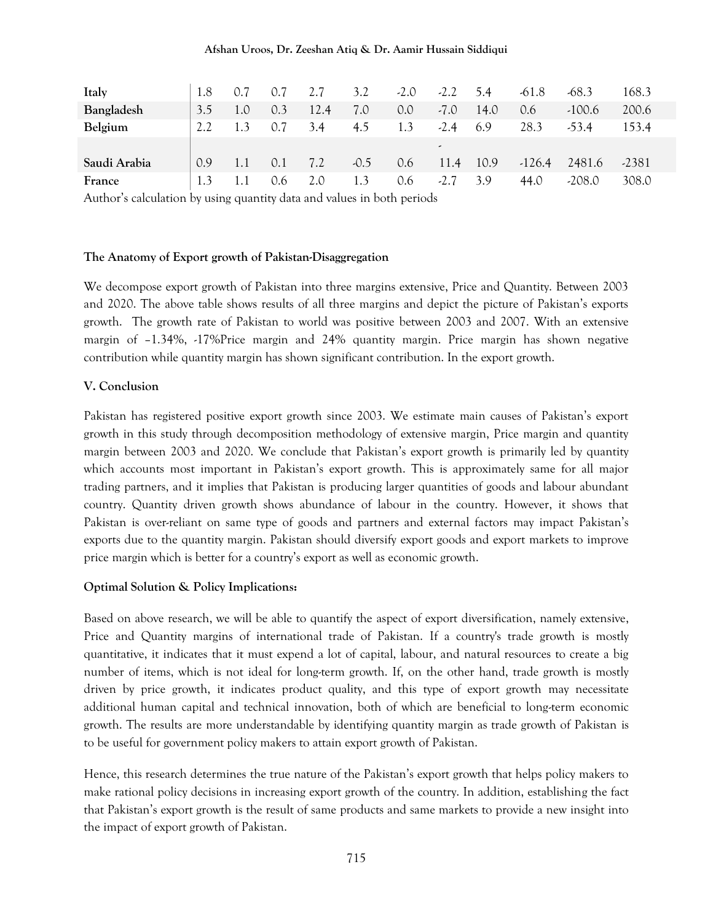### **Afshan Uroos, Dr. Zeeshan Atiq & Dr. Aamir Hussain Siddiqui**

| Italy        | 1.8 | 0.7 | 0.7 | 2.7  | 3.2    | $-2.0$ | $-2.2$                   | 5.4  | $-61.8$  | $-68.3$  | 168.3   |
|--------------|-----|-----|-----|------|--------|--------|--------------------------|------|----------|----------|---------|
| Bangladesh   | 3.5 | 1.0 | 0.3 | 12.4 | 7.0    | 0.0    | $-7.0$                   | 14.0 | 0.6      | $-100.6$ | 200.6   |
| Belgium      | 2.2 |     | 0.7 | 3.4  | 4.5    | 1.3    | $-2.4$                   | 6.9  | 28.3     | $-53.4$  | 153.4   |
|              |     |     |     |      |        |        | $\overline{\phantom{a}}$ |      |          |          |         |
| Saudi Arabia | 0.9 | 1.1 | 0.1 | 7.2  | $-0.5$ | 0.6    | 11.4                     | 10.9 | $-126.4$ | 2481.6   | $-2381$ |
| France       | 1.3 |     | 0.6 | 2.0  |        | 0.6    | $-2.7$                   | 3.9  | 44.0     | $-208.0$ | 308.0   |

Author's calculation by using quantity data and values in both periods

#### **The Anatomy of Export growth of Pakistan-Disaggregation**

We decompose export growth of Pakistan into three margins extensive, Price and Quantity. Between 2003 and 2020. The above table shows results of all three margins and depict the picture of Pakistan's exports growth. The growth rate of Pakistan to world was positive between 2003 and 2007. With an extensive margin of –1.34%, -17%Price margin and 24% quantity margin. Price margin has shown negative contribution while quantity margin has shown significant contribution. In the export growth.

#### **V. Conclusion**

Pakistan has registered positive export growth since 2003. We estimate main causes of Pakistan's export growth in this study through decomposition methodology of extensive margin, Price margin and quantity margin between 2003 and 2020. We conclude that Pakistan's export growth is primarily led by quantity which accounts most important in Pakistan's export growth. This is approximately same for all major trading partners, and it implies that Pakistan is producing larger quantities of goods and labour abundant country. Quantity driven growth shows abundance of labour in the country. However, it shows that Pakistan is over-reliant on same type of goods and partners and external factors may impact Pakistan's exports due to the quantity margin. Pakistan should diversify export goods and export markets to improve price margin which is better for a country's export as well as economic growth.

#### **Optimal Solution & Policy Implications:**

Based on above research, we will be able to quantify the aspect of export diversification, namely extensive, Price and Quantity margins of international trade of Pakistan. If a country's trade growth is mostly quantitative, it indicates that it must expend a lot of capital, labour, and natural resources to create a big number of items, which is not ideal for long-term growth. If, on the other hand, trade growth is mostly driven by price growth, it indicates product quality, and this type of export growth may necessitate additional human capital and technical innovation, both of which are beneficial to long-term economic growth. The results are more understandable by identifying quantity margin as trade growth of Pakistan is to be useful for government policy makers to attain export growth of Pakistan.

Hence, this research determines the true nature of the Pakistan's export growth that helps policy makers to make rational policy decisions in increasing export growth of the country. In addition, establishing the fact that Pakistan's export growth is the result of same products and same markets to provide a new insight into the impact of export growth of Pakistan.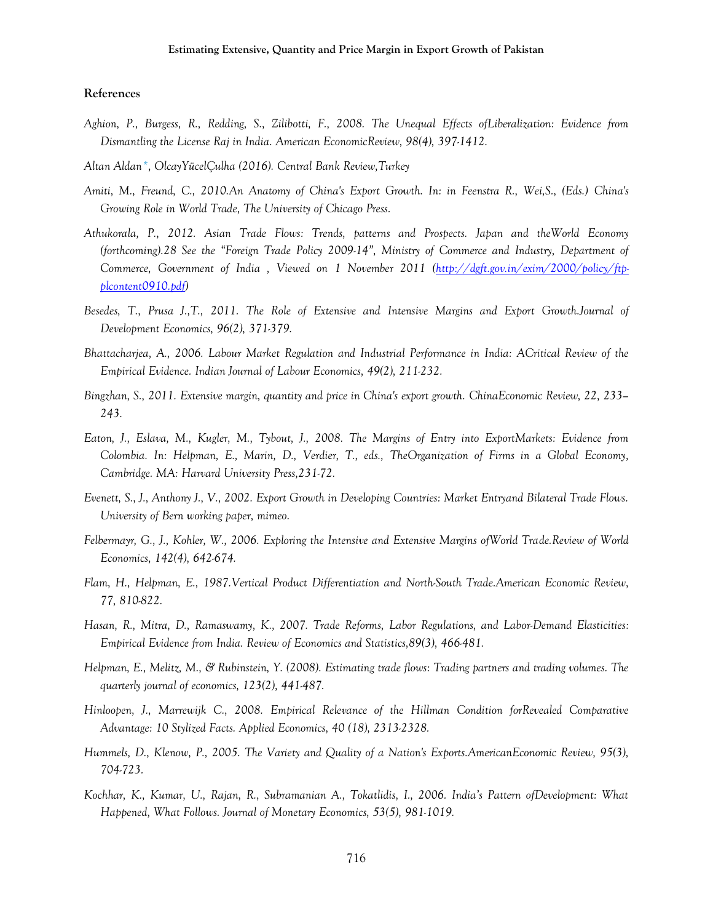#### **References**

- *Aghion, P., Burgess, R., Redding, S., Zilibotti, F., 2008. The Unequal Effects ofLiberalization: Evidence from Dismantling the License Raj in India. American EconomicReview, 98(4), 397-1412.*
- *Altan Aldan\*, OlcayYücelÇulha (2016). Central Bank Review,Turkey*
- *Amiti, M., Freund, C., 2010.An Anatomy of China's Export Growth. In: in Feenstra R., Wei,S., (Eds.) China's Growing Role in World Trade, The University of Chicago Press.*
- *Athukorala, P., 2012. Asian Trade Flows: Trends, patterns and Prospects. Japan and theWorld Economy (forthcoming).28 See the "Foreign Trade Policy 2009-14", Ministry of Commerce and Industry, Department of Commerce, Government of India , Viewed on 1 November 2011 [\(http://dgft.gov.in/exim/2000/policy/ftp](http://dgft.gov.in/exim/2000/policy/ftp-plcontent0910.pdf)[plcontent0910.pdf\)](http://dgft.gov.in/exim/2000/policy/ftp-plcontent0910.pdf)*
- *Besedes, T., Prusa J.,T., 2011. The Role of Extensive and Intensive Margins and Export Growth.Journal of Development Economics, 96(2), 371-379.*
- *Bhattacharjea, A., 2006. Labour Market Regulation and Industrial Performance in India: ACritical Review of the Empirical Evidence. Indian Journal of Labour Economics, 49(2), 211-232.*
- *Bingzhan, S., 2011. Extensive margin, quantity and price in China's export growth. ChinaEconomic Review, 22, 233– 243.*
- *Eaton, J., Eslava, M., Kugler, M., Tybout, J., 2008. The Margins of Entry into ExportMarkets: Evidence from Colombia. In: Helpman, E., Marin, D., Verdier, T., eds., TheOrganization of Firms in a Global Economy, Cambridge. MA: Harvard University Press,231-72.*
- *Evenett, S., J., Anthony J., V., 2002. Export Growth in Developing Countries: Market Entryand Bilateral Trade Flows. University of Bern working paper, mimeo.*
- *Felbermayr, G., J., Kohler, W., 2006. Exploring the Intensive and Extensive Margins ofWorld Trade.Review of World Economics, 142(4), 642-674.*
- *Flam, H., Helpman, E., 1987.Vertical Product Differentiation and North-South Trade.American Economic Review, 77, 810-822.*
- *Hasan, R., Mitra, D., Ramaswamy, K., 2007. Trade Reforms, Labor Regulations, and Labor-Demand Elasticities: Empirical Evidence from India. Review of Economics and Statistics,89(3), 466-481.*
- *Helpman, E., Melitz, M., & Rubinstein, Y. (2008). Estimating trade flows: Trading partners and trading volumes. The quarterly journal of economics, 123(2), 441-487.*
- *Hinloopen, J., Marrewijk C., 2008. Empirical Relevance of the Hillman Condition forRevealed Comparative Advantage: 10 Stylized Facts. Applied Economics, 40 (18), 2313-2328.*
- *Hummels, D., Klenow, P., 2005. The Variety and Quality of a Nation's Exports.AmericanEconomic Review, 95(3), 704-723.*
- *Kochhar, K., Kumar, U., Rajan, R., Subramanian A., Tokatlidis, I., 2006. India's Pattern ofDevelopment: What Happened, What Follows. Journal of Monetary Economics, 53(5), 981-1019.*